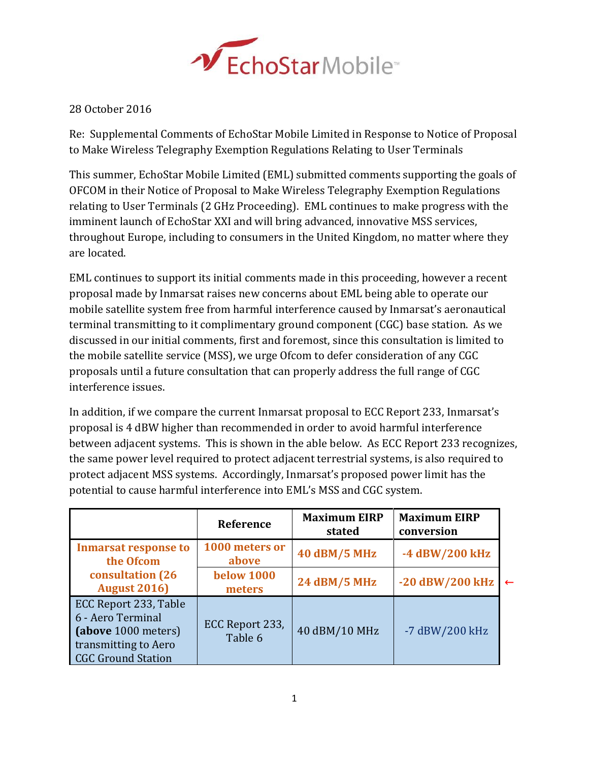

## 28 October 2016

Re: Supplemental Comments of EchoStar Mobile Limited in Response to Notice of Proposal to Make Wireless Telegraphy Exemption Regulations Relating to User Terminals

This summer, EchoStar Mobile Limited (EML) submitted comments supporting the goals of OFCOM in their Notice of Proposal to Make Wireless Telegraphy Exemption Regulations relating to User Terminals (2 GHz Proceeding). EML continues to make progress with the imminent launch of EchoStar XXI and will bring advanced, innovative MSS services, throughout Europe, including to consumers in the United Kingdom, no matter where they are located.

EML continues to support its initial comments made in this proceeding, however a recent proposal made by Inmarsat raises new concerns about EML being able to operate our mobile satellite system free from harmful interference caused by Inmarsat's aeronautical terminal transmitting to it complimentary ground component (CGC) base station. As we discussed in our initial comments, first and foremost, since this consultation is limited to the mobile satellite service (MSS), we urge Ofcom to defer consideration of any CGC proposals until a future consultation that can properly address the full range of CGC interference issues.

In addition, if we compare the current Inmarsat proposal to ECC Report 233, Inmarsat's proposal is 4 dBW higher than recommended in order to avoid harmful interference between adjacent systems. This is shown in the able below. As ECC Report 233 recognizes, the same power level required to protect adjacent terrestrial systems, is also required to protect adjacent MSS systems. Accordingly, Inmarsat's proposed power limit has the potential to cause harmful interference into EML's MSS and CGC system.

|                                                                                                                        | Reference                   | <b>Maximum EIRP</b><br>stated | <b>Maximum EIRP</b><br>conversion |              |
|------------------------------------------------------------------------------------------------------------------------|-----------------------------|-------------------------------|-----------------------------------|--------------|
| <b>Inmarsat response to</b><br>the Ofcom                                                                               | 1000 meters or<br>above     | <b>40 dBM/5 MHz</b>           | -4 dBW/200 kHz                    |              |
| consultation (26)<br><b>August 2016)</b>                                                                               | <b>below 1000</b><br>meters | <b>24 dBM/5 MHz</b>           | -20 dBW/200 kHz                   | $\leftarrow$ |
| ECC Report 233, Table<br>6 - Aero Terminal<br>(above 1000 meters)<br>transmitting to Aero<br><b>CGC Ground Station</b> | ECC Report 233,<br>Table 6  | 40 dBM/10 MHz                 | -7 dBW/200 kHz                    |              |